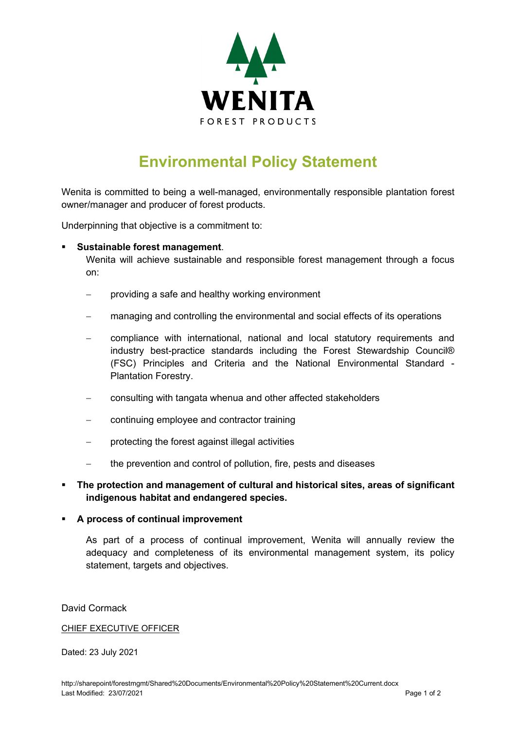

# **Environmental Policy Statement**

Wenita is committed to being a well-managed, environmentally responsible plantation forest owner/manager and producer of forest products.

Underpinning that objective is a commitment to:

## **Sustainable forest management**.

Wenita will achieve sustainable and responsible forest management through a focus on:

- − providing a safe and healthy working environment
- managing and controlling the environmental and social effects of its operations
- − compliance with international, national and local statutory requirements and industry best-practice standards including the Forest Stewardship Council® (FSC) Principles and Criteria and the National Environmental Standard - Plantation Forestry.
- consulting with tangata whenua and other affected stakeholders
- − continuing employee and contractor training
- protecting the forest against illegal activities
- the prevention and control of pollution, fire, pests and diseases

# **The protection and management of cultural and historical sites, areas of significant indigenous habitat and endangered species.**

#### **A process of continual improvement**

As part of a process of continual improvement, Wenita will annually review the adequacy and completeness of its environmental management system, its policy statement, targets and objectives.

## David Cormack

#### CHIEF EXECUTIVE OFFICER

Dated: 23 July 2021